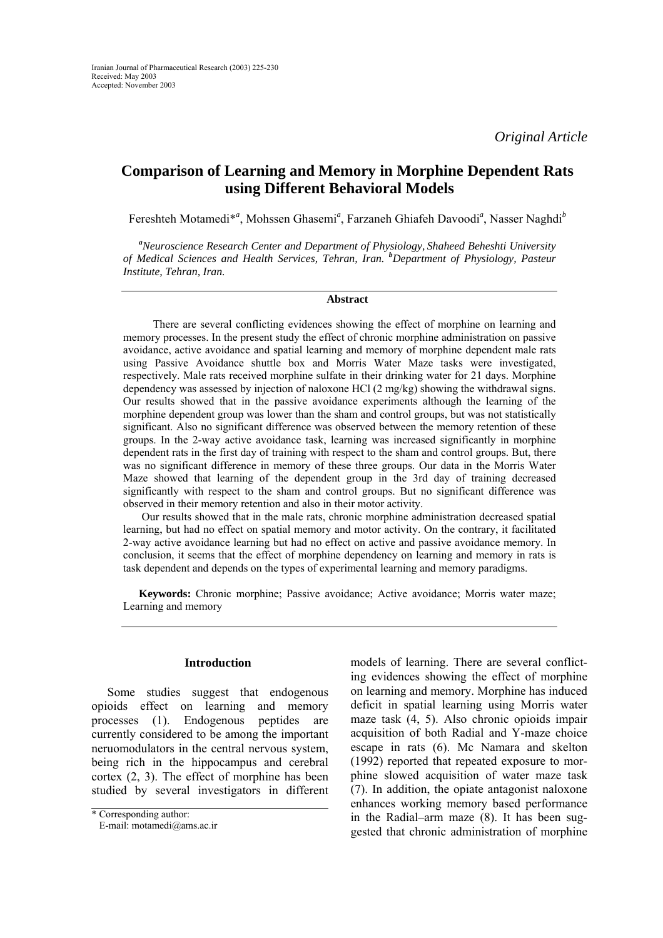# **Comparison of Learning and Memory in Morphine Dependent Rats using Different Behavioral Models**

Fereshteh Motamedi<sup>\*</sup><sup>a</sup>, Mohssen Ghasemi<sup>a</sup>, Farzaneh Ghiafeh Davoodi<sup>a</sup>, Nasser Naghdi<sup>b</sup>

*a Neuroscience Research Center and Department of Physiology, Shaheed Beheshti University of Medical Sciences and Health Services, Tehran, Iran. <sup>b</sup> Department of Physiology, Pasteur Institute, Tehran, Iran.* 

#### **Abstract**

 There are several conflicting evidences showing the effect of morphine on learning and memory processes. In the present study the effect of chronic morphine administration on passive avoidance, active avoidance and spatial learning and memory of morphine dependent male rats using Passive Avoidance shuttle box and Morris Water Maze tasks were investigated, respectively. Male rats received morphine sulfate in their drinking water for 21 days. Morphine dependency was assessed by injection of naloxone HCl (2 mg/kg) showing the withdrawal signs. Our results showed that in the passive avoidance experiments although the learning of the morphine dependent group was lower than the sham and control groups, but was not statistically significant. Also no significant difference was observed between the memory retention of these groups. In the 2-way active avoidance task, learning was increased significantly in morphine dependent rats in the first day of training with respect to the sham and control groups. But, there was no significant difference in memory of these three groups. Our data in the Morris Water Maze showed that learning of the dependent group in the 3rd day of training decreased significantly with respect to the sham and control groups. But no significant difference was observed in their memory retention and also in their motor activity.

 Our results showed that in the male rats, chronic morphine administration decreased spatial learning, but had no effect on spatial memory and motor activity. On the contrary, it facilitated 2-way active avoidance learning but had no effect on active and passive avoidance memory. In conclusion, it seems that the effect of morphine dependency on learning and memory in rats is task dependent and depends on the types of experimental learning and memory paradigms.

**Keywords:** Chronic morphine; Passive avoidance; Active avoidance; Morris water maze; Learning and memory

#### **Introduction**

Some studies suggest that endogenous opioids effect on learning and memory processes (1). Endogenous peptides are currently considered to be among the important neruomodulators in the central nervous system, being rich in the hippocampus and cerebral cortex (2, 3). The effect of morphine has been studied by several investigators in different models of learning. There are several conflicting evidences showing the effect of morphine on learning and memory. Morphine has induced deficit in spatial learning using Morris water maze task (4, 5). Also chronic opioids impair acquisition of both Radial and Y-maze choice escape in rats (6). Mc Namara and skelton (1992) reported that repeated exposure to morphine slowed acquisition of water maze task (7). In addition, the opiate antagonist naloxone enhances working memory based performance in the Radial–arm maze (8). It has been suggested that chronic administration of morphine

<sup>\*</sup> Corresponding author:

E-mail: motamedi@ams.ac.ir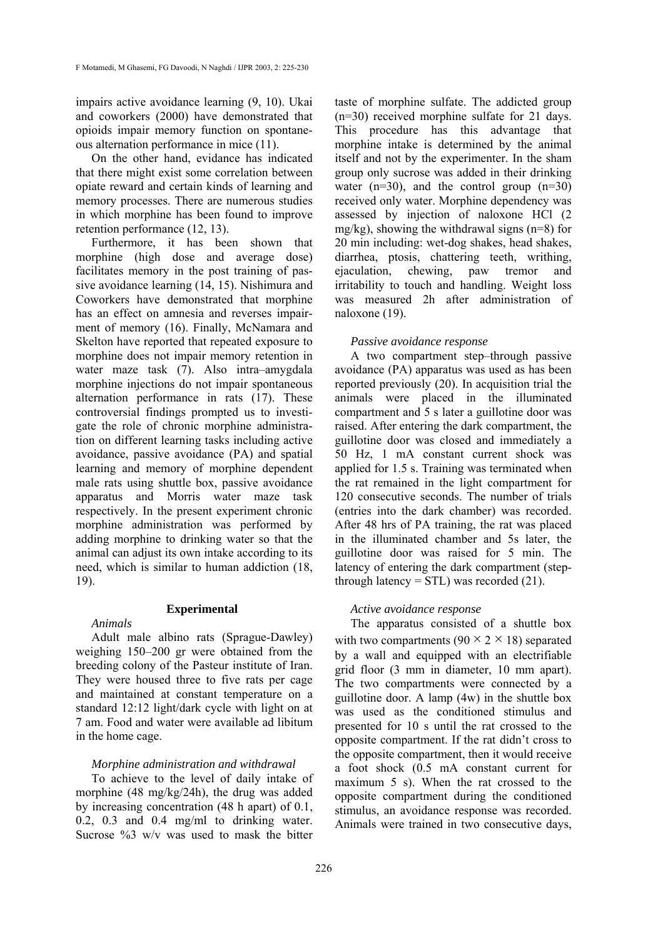impairs active avoidance learning (9, 10). Ukai and coworkers (2000) have demonstrated that opioids impair memory function on spontaneous alternation performance in mice (11).

On the other hand, evidance has indicated that there might exist some correlation between opiate reward and certain kinds of learning and memory processes. There are numerous studies in which morphine has been found to improve retention performance (12, 13).

Furthermore, it has been shown that morphine (high dose and average dose) facilitates memory in the post training of passive avoidance learning (14, 15). Nishimura and Coworkers have demonstrated that morphine has an effect on amnesia and reverses impairment of memory (16). Finally, McNamara and Skelton have reported that repeated exposure to morphine does not impair memory retention in water maze task (7). Also intra–amygdala morphine injections do not impair spontaneous alternation performance in rats (17). These controversial findings prompted us to investigate the role of chronic morphine administration on different learning tasks including active avoidance, passive avoidance (PA) and spatial learning and memory of morphine dependent male rats using shuttle box, passive avoidance apparatus and Morris water maze task respectively. In the present experiment chronic morphine administration was performed by adding morphine to drinking water so that the animal can adjust its own intake according to its need, which is similar to human addiction (18, 19).

# **Experimental**

#### *Animals*

Adult male albino rats (Sprague-Dawley) weighing 150–200 gr were obtained from the breeding colony of the Pasteur institute of Iran. They were housed three to five rats per cage and maintained at constant temperature on a standard 12:12 light/dark cycle with light on at 7 am. Food and water were available ad libitum in the home cage.

# *Morphine administration and withdrawal*

To achieve to the level of daily intake of morphine (48 mg/kg/24h), the drug was added by increasing concentration (48 h apart) of 0.1, 0.2, 0.3 and 0.4 mg/ml to drinking water. Sucrose %3 w/v was used to mask the bitter

taste of morphine sulfate. The addicted group (n=30) received morphine sulfate for 21 days. This procedure has this advantage that morphine intake is determined by the animal itself and not by the experimenter. In the sham group only sucrose was added in their drinking water  $(n=30)$ , and the control group  $(n=30)$ received only water. Morphine dependency was assessed by injection of naloxone HCl (2 mg/kg), showing the withdrawal signs (n=8) for 20 min including: wet-dog shakes, head shakes, diarrhea, ptosis, chattering teeth, writhing, ejaculation, chewing, paw tremor and irritability to touch and handling. Weight loss was measured 2h after administration of naloxone (19).

# *Passive avoidance response*

A two compartment step–through passive avoidance (PA) apparatus was used as has been reported previously (20). In acquisition trial the animals were placed in the illuminated compartment and 5 s later a guillotine door was raised. After entering the dark compartment, the guillotine door was closed and immediately a 50 Hz, 1 mA constant current shock was applied for 1.5 s. Training was terminated when the rat remained in the light compartment for 120 consecutive seconds. The number of trials (entries into the dark chamber) was recorded. After 48 hrs of PA training, the rat was placed in the illuminated chamber and 5s later, the guillotine door was raised for 5 min. The latency of entering the dark compartment (stepthrough latency  $=$  STL) was recorded (21).

# *Active avoidance response*

The apparatus consisted of a shuttle box with two compartments  $(90 \times 2 \times 18)$  separated by a wall and equipped with an electrifiable grid floor (3 mm in diameter, 10 mm apart). The two compartments were connected by a guillotine door. A lamp (4w) in the shuttle box was used as the conditioned stimulus and presented for 10 s until the rat crossed to the opposite compartment. If the rat didn't cross to the opposite compartment, then it would receive a foot shock (0.5 mA constant current for maximum 5 s). When the rat crossed to the opposite compartment during the conditioned stimulus, an avoidance response was recorded. Animals were trained in two consecutive days,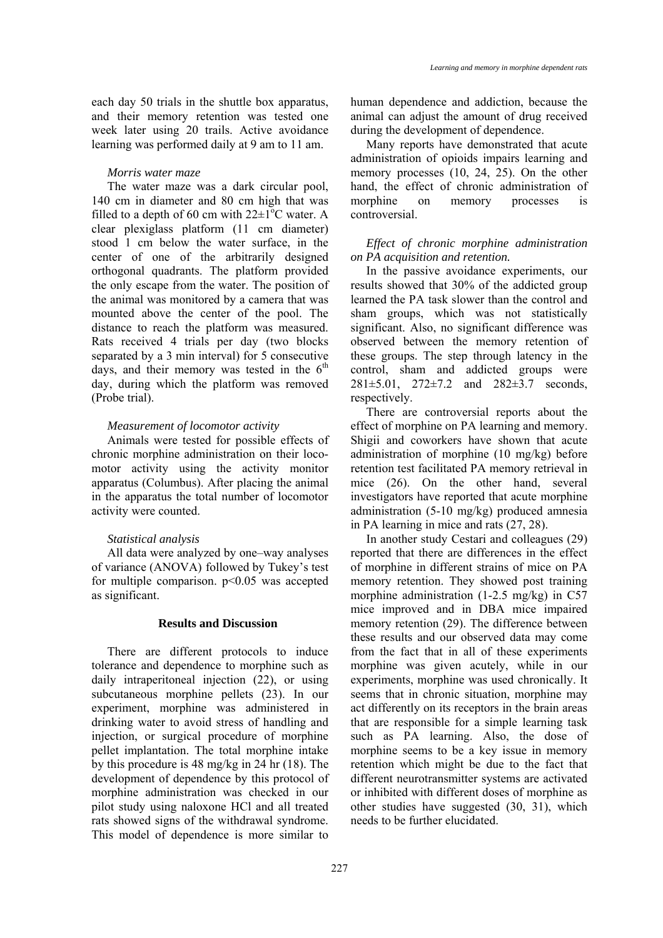each day 50 trials in the shuttle box apparatus, and their memory retention was tested one week later using 20 trails. Active avoidance learning was performed daily at 9 am to 11 am.

#### *Morris water maze*

The water maze was a dark circular pool, 140 cm in diameter and 80 cm high that was filled to a depth of 60 cm with  $22 \pm 1^{\circ}$ C water. A clear plexiglass platform (11 cm diameter) stood 1 cm below the water surface, in the center of one of the arbitrarily designed orthogonal quadrants. The platform provided the only escape from the water. The position of the animal was monitored by a camera that was mounted above the center of the pool. The distance to reach the platform was measured. Rats received 4 trials per day (two blocks separated by a 3 min interval) for 5 consecutive days, and their memory was tested in the  $6<sup>th</sup>$ day, during which the platform was removed (Probe trial).

#### *Measurement of locomotor activity*

Animals were tested for possible effects of chronic morphine administration on their locomotor activity using the activity monitor apparatus (Columbus). After placing the animal in the apparatus the total number of locomotor activity were counted.

#### *Statistical analysis*

All data were analyzed by one–way analyses of variance (ANOVA) followed by Tukey's test for multiple comparison.  $p<0.05$  was accepted as significant.

# **Results and Discussion**

There are different protocols to induce tolerance and dependence to morphine such as daily intraperitoneal injection (22), or using subcutaneous morphine pellets (23). In our experiment, morphine was administered in drinking water to avoid stress of handling and injection, or surgical procedure of morphine pellet implantation. The total morphine intake by this procedure is 48 mg/kg in 24 hr (18). The development of dependence by this protocol of morphine administration was checked in our pilot study using naloxone HCl and all treated rats showed signs of the withdrawal syndrome. This model of dependence is more similar to human dependence and addiction, because the animal can adjust the amount of drug received during the development of dependence.

Many reports have demonstrated that acute administration of opioids impairs learning and memory processes (10, 24, 25). On the other hand, the effect of chronic administration of morphine on memory processes is controversial.

*Effect of chronic morphine administration on PA acquisition and retention.* 

In the passive avoidance experiments, our results showed that 30% of the addicted group learned the PA task slower than the control and sham groups, which was not statistically significant. Also, no significant difference was observed between the memory retention of these groups. The step through latency in the control, sham and addicted groups were 281±5.01, 272±7.2 and 282±3.7 seconds, respectively.

There are controversial reports about the effect of morphine on PA learning and memory. Shigii and coworkers have shown that acute administration of morphine (10 mg/kg) before retention test facilitated PA memory retrieval in mice (26). On the other hand, several investigators have reported that acute morphine administration (5-10 mg/kg) produced amnesia in PA learning in mice and rats (27, 28).

In another study Cestari and colleagues (29) reported that there are differences in the effect of morphine in different strains of mice on PA memory retention. They showed post training morphine administration (1-2.5 mg/kg) in C57 mice improved and in DBA mice impaired memory retention (29). The difference between these results and our observed data may come from the fact that in all of these experiments morphine was given acutely, while in our experiments, morphine was used chronically. It seems that in chronic situation, morphine may act differently on its receptors in the brain areas that are responsible for a simple learning task such as PA learning. Also, the dose of morphine seems to be a key issue in memory retention which might be due to the fact that different neurotransmitter systems are activated or inhibited with different doses of morphine as other studies have suggested (30, 31), which needs to be further elucidated.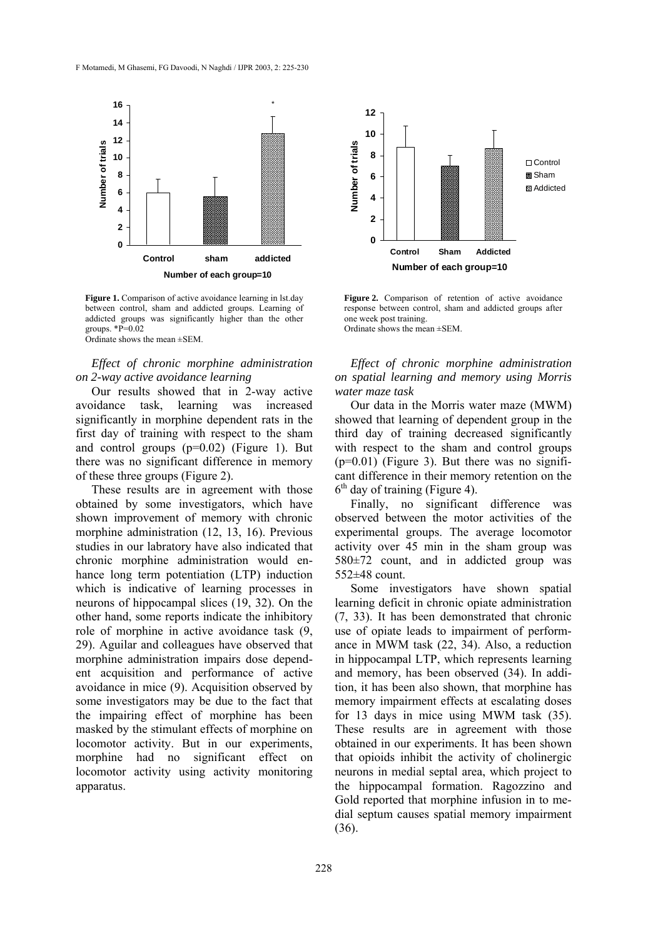

**Figure 1.** Comparison of active avoidance learning in lst.day between control, sham and addicted groups. Learning of addicted groups was significantly higher than the other groups.  $\overline{P}=0.02$ Ordinate shows the mean ±SEM.

## *Effect of chronic morphine administration on 2-way active avoidance learning*

Our results showed that in 2-way active avoidance task, learning was increased significantly in morphine dependent rats in the first day of training with respect to the sham and control groups (p=0.02) (Figure 1). But there was no significant difference in memory of these three groups (Figure 2).

These results are in agreement with those obtained by some investigators, which have shown improvement of memory with chronic morphine administration (12, 13, 16). Previous studies in our labratory have also indicated that chronic morphine administration would enhance long term potentiation (LTP) induction which is indicative of learning processes in neurons of hippocampal slices (19, 32). On the other hand, some reports indicate the inhibitory role of morphine in active avoidance task (9, 29). Aguilar and colleagues have observed that morphine administration impairs dose dependent acquisition and performance of active avoidance in mice (9). Acquisition observed by some investigators may be due to the fact that the impairing effect of morphine has been masked by the stimulant effects of morphine on locomotor activity. But in our experiments, morphine had no significant effect on locomotor activity using activity monitoring apparatus.



**Figure 2.** Comparison of retention of active avoidance response between control, sham and addicted groups after one week post training. Ordinate shows the mean ±SEM.

*Effect of chronic morphine administration on spatial learning and memory using Morris water maze task* 

Our data in the Morris water maze (MWM) showed that learning of dependent group in the third day of training decreased significantly with respect to the sham and control groups  $(p=0.01)$  (Figure 3). But there was no significant difference in their memory retention on the  $6<sup>th</sup>$  day of training (Figure 4).

Finally, no significant difference was observed between the motor activities of the experimental groups. The average locomotor activity over 45 min in the sham group was 580±72 count, and in addicted group was 552±48 count.

Some investigators have shown spatial learning deficit in chronic opiate administration (7, 33). It has been demonstrated that chronic use of opiate leads to impairment of performance in MWM task (22, 34). Also, a reduction in hippocampal LTP, which represents learning and memory, has been observed (34). In addition, it has been also shown, that morphine has memory impairment effects at escalating doses for 13 days in mice using MWM task (35). These results are in agreement with those obtained in our experiments. It has been shown that opioids inhibit the activity of cholinergic neurons in medial septal area, which project to the hippocampal formation. Ragozzino and Gold reported that morphine infusion in to medial septum causes spatial memory impairment (36).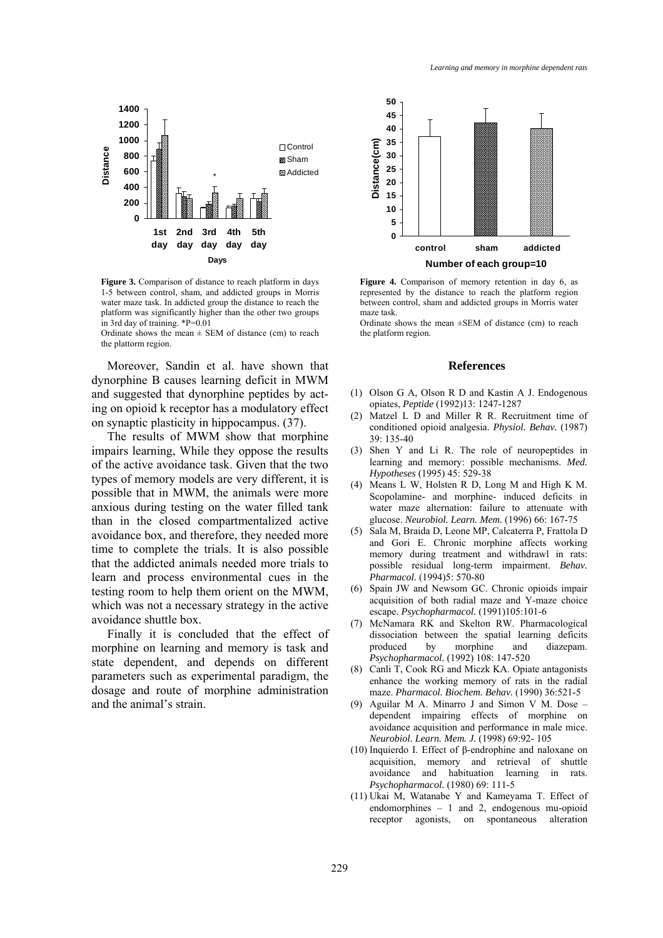

**Figure 3.** Comparison of distance to reach platform in days 1-5 between control, sham, and addicted groups in Morris water maze task. In addicted group the distance to reach the platform was significantly higher than the other two groups in 3rd day of training. \*P=0.01

Ordinate shows the mean  $\pm$  SEM of distance (cm) to reach the plattorm region.

Moreover, Sandin et al. have shown that dynorphine B causes learning deficit in MWM and suggested that dynorphine peptides by acting on opioid k receptor has a modulatory effect on synaptic plasticity in hippocampus. (37).

The results of MWM show that morphine impairs learning, While they oppose the results of the active avoidance task. Given that the two types of memory models are very different, it is possible that in MWM, the animals were more anxious during testing on the water filled tank than in the closed compartmentalized active avoidance box, and therefore, they needed more time to complete the trials. It is also possible that the addicted animals needed more trials to learn and process environmental cues in the testing room to help them orient on the MWM, which was not a necessary strategy in the active avoidance shuttle box.

Finally it is concluded that the effect of morphine on learning and memory is task and state dependent, and depends on different parameters such as experimental paradigm, the dosage and route of morphine administration and the animal's strain.



**Figure 4.** Comparison of memory retention in day 6, as represented by the distance to reach the platform region between control, sham and addicted groups in Morris water maze task.

Ordinate shows the mean  $\pm$ SEM of distance (cm) to reach the platform region.

#### **References**

- (1) Olson G A, Olson R D and Kastin A J. Endogenous opiates, *Peptide* (1992)13: 1247-1287
- (2) Matzel L D and Miller R R. Recruitment time of conditioned opioid analgesia. *Physiol. Behav.* (1987) 39: 135-40
- (3) Shen Y and Li R. The role of neuropeptides in learning and memory: possible mechanisms. *Med. Hypotheses* (1995) 45: 529-38
- (4) Means L W, Holsten R D, Long M and High K M. Scopolamine- and morphine- induced deficits in water maze alternation: failure to attenuate with glucose. *Neurobiol. Learn. Mem.* (1996) 66: 167-75
- (5) Sala M, Braida D, Leone MP, Calcaterra P, Frattola D and Gori E. Chronic morphine affects working memory during treatment and withdrawl in rats: possible residual long-term impairment. *Behav. Pharmacol.* (1994)5: 570-80
- (6) Spain JW and Newsom GC. Chronic opioids impair acquisition of both radial maze and Y-maze choice escape. *Psychopharmacol.* (1991)105:101-6
- (7) McNamara RK and Skelton RW. Pharmacological dissociation between the spatial learning deficits produced by morphine and diazepam. *Psychopharmacol.* (1992) 108: 147-520
- (8) Canli T, Cook RG and Miczk KA. Opiate antagonists enhance the working memory of rats in the radial maze. *Pharmacol. Biochem. Behav.* (1990) 36:521-5
- (9) Aguilar M A. Minarro J and Simon V M. Dose dependent impairing effects of morphine on avoidance acquisition and performance in male mice. *Neurobiol. Learn. Mem. J.* (1998) 69:92- 105
- (10) Inquierdo I. Effect of β-endrophine and naloxane on acquisition, memory and retrieval of shuttle avoidance and habituation learning in rats. *Psychopharmacol.* (1980) 69: 111-5
- (11) Ukai M, Watanabe Y and Kameyama T. Effect of endomorphines – 1 and 2, endogenous mu-opioid receptor agonists, on spontaneous alteration